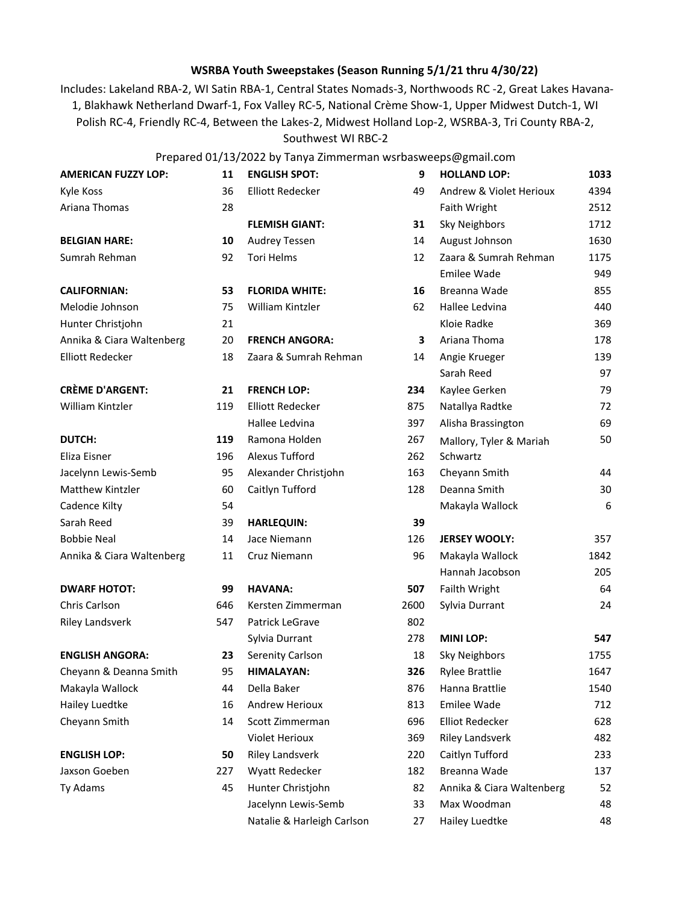## **WSRBA Youth Sweepstakes (Season Running 5/1/21 thru 4/30/22)**

Includes: Lakeland RBA-2, WI Satin RBA-1, Central States Nomads-3, Northwoods RC -2, Great Lakes Havana-1, Blakhawk Netherland Dwarf-1, Fox Valley RC-5, National Crème Show-1, Upper Midwest Dutch-1, WI Polish RC-4, Friendly RC-4, Between the Lakes-2, Midwest Holland Lop-2, WSRBA-3, Tri County RBA-2,

Southwest WI RBC-2

## Prepared 01/13/2022 by Tanya Zimmerman wsrbasweeps@gmail.com

| <b>AMERICAN FUZZY LOP:</b> | 11  | <b>ENGLISH SPOT:</b>       | 9    | <b>HOLLAND LOP:</b>       | 1033 |
|----------------------------|-----|----------------------------|------|---------------------------|------|
| Kyle Koss                  | 36  | <b>Elliott Redecker</b>    | 49   | Andrew & Violet Herioux   | 4394 |
| Ariana Thomas              | 28  |                            |      | Faith Wright              | 2512 |
|                            |     | <b>FLEMISH GIANT:</b>      | 31   | <b>Sky Neighbors</b>      | 1712 |
| <b>BELGIAN HARE:</b>       | 10  | <b>Audrey Tessen</b>       | 14   | August Johnson            | 1630 |
| Sumrah Rehman              | 92  | Tori Helms                 | 12   | Zaara & Sumrah Rehman     | 1175 |
|                            |     |                            |      | Emilee Wade               | 949  |
| <b>CALIFORNIAN:</b>        | 53  | <b>FLORIDA WHITE:</b>      | 16   | Breanna Wade              | 855  |
| Melodie Johnson            | 75  | William Kintzler           | 62   | Hallee Ledvina            | 440  |
| Hunter Christjohn          | 21  |                            |      | Kloie Radke               | 369  |
| Annika & Ciara Waltenberg  | 20  | <b>FRENCH ANGORA:</b>      | 3    | Ariana Thoma              | 178  |
| <b>Elliott Redecker</b>    | 18  | Zaara & Sumrah Rehman      | 14   | Angie Krueger             | 139  |
|                            |     |                            |      | Sarah Reed                | 97   |
| <b>CRÈME D'ARGENT:</b>     | 21  | <b>FRENCH LOP:</b>         | 234  | Kaylee Gerken             | 79   |
| William Kintzler           | 119 | <b>Elliott Redecker</b>    | 875  | Natallya Radtke           | 72   |
|                            |     | Hallee Ledvina             | 397  | Alisha Brassington        | 69   |
| <b>DUTCH:</b>              | 119 | Ramona Holden              | 267  | Mallory, Tyler & Mariah   | 50   |
| Eliza Eisner               | 196 | <b>Alexus Tufford</b>      | 262  | Schwartz                  |      |
| Jacelynn Lewis-Semb        | 95  | Alexander Christjohn       | 163  | Cheyann Smith             | 44   |
| Matthew Kintzler           | 60  | Caitlyn Tufford            | 128  | Deanna Smith              | 30   |
| Cadence Kilty              | 54  |                            |      | Makayla Wallock           | 6    |
| Sarah Reed                 | 39  | <b>HARLEQUIN:</b>          | 39   |                           |      |
| <b>Bobbie Neal</b>         | 14  | Jace Niemann               | 126  | <b>JERSEY WOOLY:</b>      | 357  |
| Annika & Ciara Waltenberg  | 11  | Cruz Niemann               | 96   | Makayla Wallock           | 1842 |
|                            |     |                            |      | Hannah Jacobson           | 205  |
| <b>DWARF HOTOT:</b>        | 99  | <b>HAVANA:</b>             | 507  | Failth Wright             | 64   |
| Chris Carlson              | 646 | Kersten Zimmerman          | 2600 | Sylvia Durrant            | 24   |
| <b>Riley Landsverk</b>     | 547 | Patrick LeGrave            | 802  |                           |      |
|                            |     | Sylvia Durrant             | 278  | <b>MINI LOP:</b>          | 547  |
| <b>ENGLISH ANGORA:</b>     | 23  | Serenity Carlson           | 18   | <b>Sky Neighbors</b>      | 1755 |
| Cheyann & Deanna Smith     | 95  | <b>HIMALAYAN:</b>          | 326  | <b>Rylee Brattlie</b>     | 1647 |
| Makayla Wallock            | 44  | Della Baker                | 876  | Hanna Brattlie            | 1540 |
| Hailey Luedtke             | 16  | Andrew Herioux             | 813  | Emilee Wade               | 712  |
| Cheyann Smith              | 14  | Scott Zimmerman            | 696  | <b>Elliot Redecker</b>    | 628  |
|                            |     | <b>Violet Herioux</b>      | 369  | <b>Riley Landsverk</b>    | 482  |
| <b>ENGLISH LOP:</b>        | 50  | <b>Riley Landsverk</b>     | 220  | Caitlyn Tufford           | 233  |
| Jaxson Goeben              | 227 | Wyatt Redecker             | 182  | Breanna Wade              | 137  |
| Ty Adams                   | 45  | Hunter Christjohn          | 82   | Annika & Ciara Waltenberg | 52   |
|                            |     | Jacelynn Lewis-Semb        | 33   | Max Woodman               | 48   |
|                            |     | Natalie & Harleigh Carlson | 27   | Hailey Luedtke            | 48   |